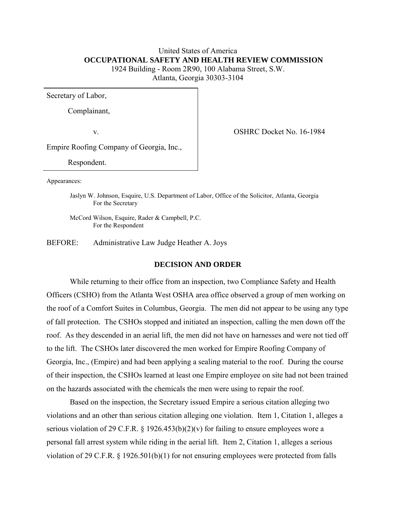# United States of America  **OCCUPATIONAL SAFETY AND HEALTH REVIEW COMMISSION**  1924 Building - Room 2R90, 100 Alabama Street, S.W. Atlanta, Georgia 30303-3104

Secretary of Labor,

Complainant,

v. COSHRC Docket No. 16-1984

Empire Roofing Company of Georgia, Inc.,

Respondent.

Appearances:

Jaslyn W. Johnson, Esquire, U.S. Department of Labor, Office of the Solicitor, Atlanta, Georgia For the Secretary

 McCord Wilson, Esquire, Rader & Campbell, P.C. For the Respondent

BEFORE: Administrative Law Judge Heather A. Joys

### **DECISION AND ORDER**

While returning to their office from an inspection, two Compliance Safety and Health Officers (CSHO) from the Atlanta West OSHA area office observed a group of men working on the roof of a Comfort Suites in Columbus, Georgia. The men did not appear to be using any type of fall protection. The CSHOs stopped and initiated an inspection, calling the men down off the roof. As they descended in an aerial lift, the men did not have on harnesses and were not tied off to the lift. The CSHOs later discovered the men worked for Empire Roofing Company of Georgia, Inc., (Empire) and had been applying a sealing material to the roof. During the course of their inspection, the CSHOs learned at least one Empire employee on site had not been trained on the hazards associated with the chemicals the men were using to repair the roof.

Based on the inspection, the Secretary issued Empire a serious citation alleging two violations and an other than serious citation alleging one violation. Item 1, Citation 1, alleges a serious violation of 29 C.F.R. § 1926.453(b)(2)(v) for failing to ensure employees wore a personal fall arrest system while riding in the aerial lift. Item 2, Citation 1, alleges a serious violation of 29 C.F.R. § 1926.501(b)(1) for not ensuring employees were protected from falls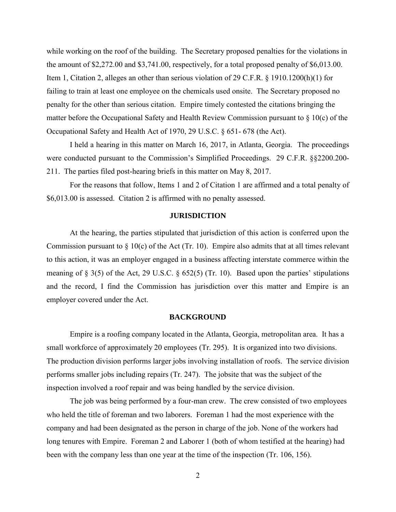while working on the roof of the building. The Secretary proposed penalties for the violations in the amount of \$2,272.00 and \$3,741.00, respectively, for a total proposed penalty of \$6,013.00. Item 1, Citation 2, alleges an other than serious violation of 29 C.F.R. § 1910.1200(h)(1) for failing to train at least one employee on the chemicals used onsite. The Secretary proposed no penalty for the other than serious citation. Empire timely contested the citations bringing the matter before the Occupational Safety and Health Review Commission pursuant to  $\S 10(c)$  of the Occupational Safety and Health Act of 1970, 29 U.S.C. § 651- 678 (the Act).

 I held a hearing in this matter on March 16, 2017, in Atlanta, Georgia. The proceedings were conducted pursuant to the Commission's Simplified Proceedings. 29 C.F.R. §§2200.200- 211. The parties filed post-hearing briefs in this matter on May 8, 2017.

 For the reasons that follow, Items 1 and 2 of Citation 1 are affirmed and a total penalty of \$6,013.00 is assessed. Citation 2 is affirmed with no penalty assessed.

#### **JURISDICTION**

At the hearing, the parties stipulated that jurisdiction of this action is conferred upon the Commission pursuant to  $\S 10(c)$  of the Act (Tr. 10). Empire also admits that at all times relevant to this action, it was an employer engaged in a business affecting interstate commerce within the meaning of § 3(5) of the Act, 29 U.S.C. § 652(5) (Tr. 10). Based upon the parties' stipulations and the record, I find the Commission has jurisdiction over this matter and Empire is an employer covered under the Act.

### **BACKGROUND**

 Empire is a roofing company located in the Atlanta, Georgia, metropolitan area. It has a small workforce of approximately 20 employees (Tr. 295). It is organized into two divisions. The production division performs larger jobs involving installation of roofs. The service division performs smaller jobs including repairs (Tr. 247). The jobsite that was the subject of the inspection involved a roof repair and was being handled by the service division.

 The job was being performed by a four-man crew. The crew consisted of two employees who held the title of foreman and two laborers. Foreman 1 had the most experience with the company and had been designated as the person in charge of the job. None of the workers had long tenures with Empire. Foreman 2 and Laborer 1 (both of whom testified at the hearing) had been with the company less than one year at the time of the inspection (Tr. 106, 156).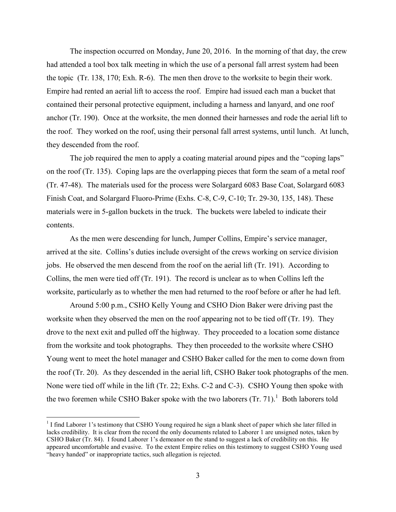The inspection occurred on Monday, June 20, 2016. In the morning of that day, the crew had attended a tool box talk meeting in which the use of a personal fall arrest system had been the topic (Tr. 138, 170; Exh. R-6). The men then drove to the worksite to begin their work. Empire had rented an aerial lift to access the roof. Empire had issued each man a bucket that contained their personal protective equipment, including a harness and lanyard, and one roof anchor (Tr. 190). Once at the worksite, the men donned their harnesses and rode the aerial lift to the roof. They worked on the roof, using their personal fall arrest systems, until lunch. At lunch, they descended from the roof.

The job required the men to apply a coating material around pipes and the "coping laps" on the roof (Tr. 135). Coping laps are the overlapping pieces that form the seam of a metal roof (Tr. 47-48). The materials used for the process were Solargard 6083 Base Coat, Solargard 6083 Finish Coat, and Solargard Fluoro-Prime (Exhs. C-8, C-9, C-10; Tr. 29-30, 135, 148). These materials were in 5-gallon buckets in the truck. The buckets were labeled to indicate their contents.

As the men were descending for lunch, Jumper Collins, Empire's service manager, arrived at the site. Collins's duties include oversight of the crews working on service division jobs. He observed the men descend from the roof on the aerial lift (Tr. 191). According to Collins, the men were tied off (Tr. 191). The record is unclear as to when Collins left the worksite, particularly as to whether the men had returned to the roof before or after he had left.

Around 5:00 p.m., CSHO Kelly Young and CSHO Dion Baker were driving past the worksite when they observed the men on the roof appearing not to be tied off (Tr. 19). They drove to the next exit and pulled off the highway. They proceeded to a location some distance from the worksite and took photographs. They then proceeded to the worksite where CSHO Young went to meet the hotel manager and CSHO Baker called for the men to come down from the roof (Tr. 20). As they descended in the aerial lift, CSHO Baker took photographs of the men. None were tied off while in the lift (Tr. 22; Exhs. C-2 and C-3). CSHO Young then spoke with the two foremen while CSHO Baker spoke with the two laborers  $(Tr. 71).$ <sup>1</sup> Both laborers told

<sup>&</sup>lt;sup>1</sup> I find Laborer 1's testimony that CSHO Young required he sign a blank sheet of paper which she later filled in lacks credibility. It is clear from the record the only documents related to Laborer 1 are unsigned notes, taken by CSHO Baker (Tr. 84). I found Laborer 1's demeanor on the stand to suggest a lack of credibility on this. He appeared uncomfortable and evasive. To the extent Empire relies on this testimony to suggest CSHO Young used "heavy handed" or inappropriate tactics, such allegation is rejected.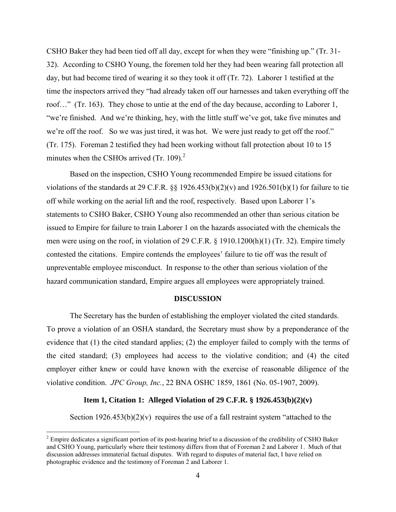CSHO Baker they had been tied off all day, except for when they were "finishing up." (Tr. 31- 32). According to CSHO Young, the foremen told her they had been wearing fall protection all day, but had become tired of wearing it so they took it off (Tr. 72). Laborer 1 testified at the time the inspectors arrived they "had already taken off our harnesses and taken everything off the roof…" (Tr. 163). They chose to untie at the end of the day because, according to Laborer 1, "we're finished. And we're thinking, hey, with the little stuff we've got, take five minutes and we're off the roof. So we was just tired, it was hot. We were just ready to get off the roof." (Tr. 175). Foreman 2 testified they had been working without fall protection about 10 to 15 minutes when the CSHOs arrived  $(Tr. 109)^2$ .

Based on the inspection, CSHO Young recommended Empire be issued citations for violations of the standards at 29 C.F.R.  $\S$  1926.453(b)(2)(v) and 1926.501(b)(1) for failure to tie off while working on the aerial lift and the roof, respectively. Based upon Laborer 1's statements to CSHO Baker, CSHO Young also recommended an other than serious citation be issued to Empire for failure to train Laborer 1 on the hazards associated with the chemicals the men were using on the roof, in violation of 29 C.F.R. § 1910.1200(h)(1) (Tr. 32). Empire timely contested the citations. Empire contends the employees' failure to tie off was the result of unpreventable employee misconduct. In response to the other than serious violation of the hazard communication standard, Empire argues all employees were appropriately trained.

## **DISCUSSION**

The Secretary has the burden of establishing the employer violated the cited standards. To prove a violation of an OSHA standard, the Secretary must show by a preponderance of the evidence that (1) the cited standard applies; (2) the employer failed to comply with the terms of the cited standard; (3) employees had access to the violative condition; and (4) the cited employer either knew or could have known with the exercise of reasonable diligence of the violative condition. *JPC Group, Inc.*, 22 BNA OSHC 1859, 1861 (No. 05-1907, 2009).

#### **Item 1, Citation 1: Alleged Violation of 29 C.F.R. § 1926.453(b)(2)(v)**

Section  $1926.453(b)(2)(v)$  requires the use of a fall restraint system "attached to the

 $\overline{a}$ 

 $2^{2}$  Empire dedicates a significant portion of its post-hearing brief to a discussion of the credibility of CSHO Baker and CSHO Young, particularly where their testimony differs from that of Foreman 2 and Laborer 1. Much of that discussion addresses immaterial factual disputes. With regard to disputes of material fact, I have relied on photographic evidence and the testimony of Foreman 2 and Laborer 1.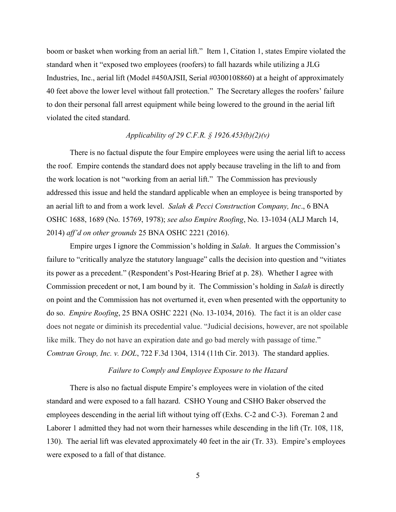boom or basket when working from an aerial lift." Item 1, Citation 1, states Empire violated the standard when it "exposed two employees (roofers) to fall hazards while utilizing a JLG Industries, Inc., aerial lift (Model #450AJSII, Serial #0300108860) at a height of approximately 40 feet above the lower level without fall protection." The Secretary alleges the roofers' failure to don their personal fall arrest equipment while being lowered to the ground in the aerial lift violated the cited standard.

# *Applicability of 29 C.F.R. § 1926.453(b)(2)(v)*

There is no factual dispute the four Empire employees were using the aerial lift to access the roof. Empire contends the standard does not apply because traveling in the lift to and from the work location is not "working from an aerial lift." The Commission has previously addressed this issue and held the standard applicable when an employee is being transported by an aerial lift to and from a work level. *Salah & Pecci Construction Company, Inc*., 6 BNA OSHC 1688, 1689 (No. 15769, 1978); *see also Empire Roofing*, No. 13-1034 (ALJ March 14, 2014) *aff'd on other grounds* 25 BNA OSHC 2221 (2016).

 Empire urges I ignore the Commission's holding in *Salah*. It argues the Commission's failure to "critically analyze the statutory language" calls the decision into question and "vitiates its power as a precedent." (Respondent's Post-Hearing Brief at p. 28). Whether I agree with Commission precedent or not, I am bound by it. The Commission's holding in *Salah* is directly on point and the Commission has not overturned it, even when presented with the opportunity to do so. *Empire Roofing*, 25 BNA OSHC 2221 (No. 13-1034, 2016). The fact it is an older case does not negate or diminish its precedential value. "Judicial decisions, however, are not spoilable like milk. They do not have an expiration date and go bad merely with passage of time." *Comtran Group, Inc. v. DOL*[, 722 F.3d 1304, 1314 \(11th Cir. 2013\).](https://1.next.westlaw.com/Link/Document/FullText?findType=Y&serNum=2031151900&pubNum=0000506&originatingDoc=I1f6580e9cc3411e6b92bf4314c15140f&refType=RP&fi=co_pp_sp_506_1314&originationContext=document&transitionType=DocumentItem&contextData=(sc.Search)#co_pp_sp_506_1314) The standard applies.

## *Failure to Comply and Employee Exposure to the Hazard*

 There is also no factual dispute Empire's employees were in violation of the cited standard and were exposed to a fall hazard. CSHO Young and CSHO Baker observed the employees descending in the aerial lift without tying off (Exhs. C-2 and C-3). Foreman 2 and Laborer 1 admitted they had not worn their harnesses while descending in the lift (Tr. 108, 118, 130). The aerial lift was elevated approximately 40 feet in the air (Tr. 33). Empire's employees were exposed to a fall of that distance.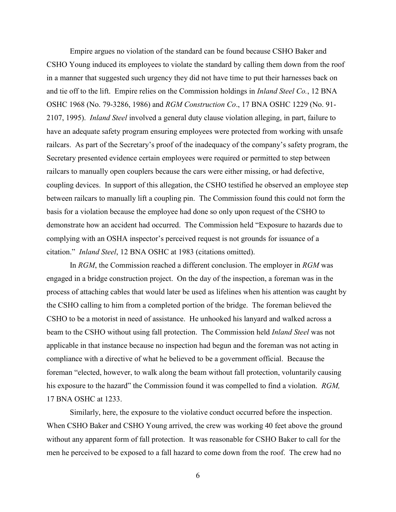Empire argues no violation of the standard can be found because CSHO Baker and CSHO Young induced its employees to violate the standard by calling them down from the roof in a manner that suggested such urgency they did not have time to put their harnesses back on and tie off to the lift. Empire relies on the Commission holdings in *Inland Steel Co.*, 12 BNA OSHC 1968 (No. 79-3286, 1986) and *RGM Construction Co*., 17 BNA OSHC 1229 (No. 91- 2107, 1995). *Inland Steel* involved a general duty clause violation alleging, in part, failure to have an adequate safety program ensuring employees were protected from working with unsafe railcars. As part of the Secretary's proof of the inadequacy of the company's safety program, the Secretary presented evidence certain employees were required or permitted to step between railcars to manually open couplers because the cars were either missing, or had defective, coupling devices. In support of this allegation, the CSHO testified he observed an employee step between railcars to manually lift a coupling pin. The Commission found this could not form the basis for a violation because the employee had done so only upon request of the CSHO to demonstrate how an accident had occurred. The Commission held "Exposure to hazards due to complying with an OSHA inspector's perceived request is not grounds for issuance of a citation." *Inland Steel*, 12 BNA OSHC at 1983 (citations omitted).

 In *RGM*, the Commission reached a different conclusion. The employer in *RGM* was engaged in a bridge construction project. On the day of the inspection, a foreman was in the process of attaching cables that would later be used as lifelines when his attention was caught by the CSHO calling to him from a completed portion of the bridge. The foreman believed the CSHO to be a motorist in need of assistance. He unhooked his lanyard and walked across a beam to the CSHO without using fall protection. The Commission held *Inland Steel* was not applicable in that instance because no inspection had begun and the foreman was not acting in compliance with a directive of what he believed to be a government official. Because the foreman "elected, however, to walk along the beam without fall protection, voluntarily causing his exposure to the hazard" the Commission found it was compelled to find a violation. *RGM,*  17 BNA OSHC at 1233.

 Similarly, here, the exposure to the violative conduct occurred before the inspection. When CSHO Baker and CSHO Young arrived, the crew was working 40 feet above the ground without any apparent form of fall protection. It was reasonable for CSHO Baker to call for the men he perceived to be exposed to a fall hazard to come down from the roof. The crew had no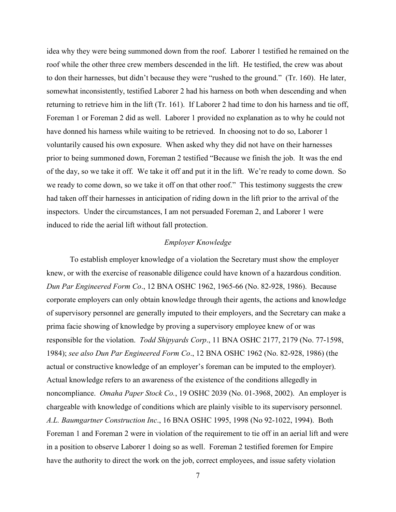idea why they were being summoned down from the roof. Laborer 1 testified he remained on the roof while the other three crew members descended in the lift. He testified, the crew was about to don their harnesses, but didn't because they were "rushed to the ground." (Tr. 160). He later, somewhat inconsistently, testified Laborer 2 had his harness on both when descending and when returning to retrieve him in the lift (Tr. 161). If Laborer 2 had time to don his harness and tie off, Foreman 1 or Foreman 2 did as well. Laborer 1 provided no explanation as to why he could not have donned his harness while waiting to be retrieved. In choosing not to do so, Laborer 1 voluntarily caused his own exposure. When asked why they did not have on their harnesses prior to being summoned down, Foreman 2 testified "Because we finish the job. It was the end of the day, so we take it off. We take it off and put it in the lift. We're ready to come down. So we ready to come down, so we take it off on that other roof." This testimony suggests the crew had taken off their harnesses in anticipation of riding down in the lift prior to the arrival of the inspectors. Under the circumstances, I am not persuaded Foreman 2, and Laborer 1 were induced to ride the aerial lift without fall protection.

## *Employer Knowledge*

To establish employer knowledge of a violation the Secretary must show the employer knew, or with the exercise of reasonable diligence could have known of a hazardous condition. *Dun Par Engineered Form Co*., 12 BNA OSHC 1962, 1965-66 (No. 82-928, 1986). Because corporate employers can only obtain knowledge through their agents, the actions and knowledge of supervisory personnel are generally imputed to their employers, and the Secretary can make a prima facie showing of knowledge by proving a supervisory employee knew of or was responsible for the violation. *Todd Shipyards Corp*., 11 BNA OSHC 2177, 2179 (No. 77-1598, 1984); *see also Dun Par Engineered Form Co*., 12 BNA OSHC 1962 (No. 82-928, 1986) (the actual or constructive knowledge of an employer's foreman can be imputed to the employer). Actual knowledge refers to an awareness of the existence of the conditions allegedly in noncompliance. *Omaha Paper Stock Co.*, 19 OSHC 2039 (No. 01-3968, 2002). An employer is chargeable with knowledge of conditions which are plainly visible to its supervisory personnel. *A.L. Baumgartner Construction Inc*., 16 BNA OSHC 1995, 1998 (No 92-1022, 1994). Both Foreman 1 and Foreman 2 were in violation of the requirement to tie off in an aerial lift and were in a position to observe Laborer 1 doing so as well. Foreman 2 testified foremen for Empire have the authority to direct the work on the job, correct employees, and issue safety violation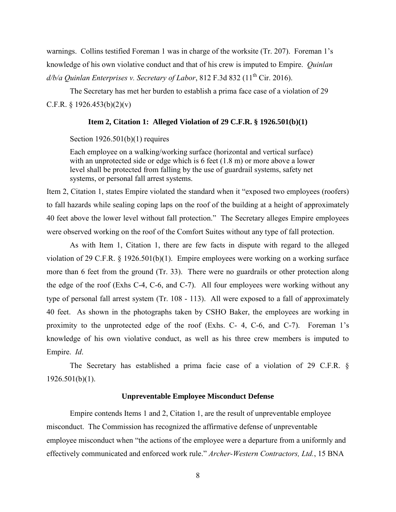warnings. Collins testified Foreman 1 was in charge of the worksite (Tr. 207). Foreman 1's knowledge of his own violative conduct and that of his crew is imputed to Empire. *Quinlan d/b/a Quinlan Enterprises v. Secretary of Labor*, 812 F.3d 832 (11<sup>th</sup> Cir. 2016).

The Secretary has met her burden to establish a prima face case of a violation of 29 C.F.R. § 1926.453(b)(2)(v)

### **Item 2, Citation 1: Alleged Violation of 29 C.F.R. § 1926.501(b)(1)**

#### Section 1926.501(b)(1) requires

Each employee on a walking/working surface (horizontal and vertical surface) with an unprotected side or edge which is 6 feet  $(1.8 \text{ m})$  or more above a lower level shall be protected from falling by the use of guardrail systems, safety net systems, or personal fall arrest systems.

Item 2, Citation 1, states Empire violated the standard when it "exposed two employees (roofers) to fall hazards while sealing coping laps on the roof of the building at a height of approximately 40 feet above the lower level without fall protection." The Secretary alleges Empire employees were observed working on the roof of the Comfort Suites without any type of fall protection.

 As with Item 1, Citation 1, there are few facts in dispute with regard to the alleged violation of 29 C.F.R. § 1926.501(b)(1). Empire employees were working on a working surface more than 6 feet from the ground (Tr. 33). There were no guardrails or other protection along the edge of the roof (Exhs C-4, C-6, and C-7). All four employees were working without any type of personal fall arrest system (Tr. 108 - 113). All were exposed to a fall of approximately 40 feet. As shown in the photographs taken by CSHO Baker, the employees are working in proximity to the unprotected edge of the roof (Exhs. C- 4, C-6, and C-7). Foreman 1's knowledge of his own violative conduct, as well as his three crew members is imputed to Empire. *Id*.

 The Secretary has established a prima facie case of a violation of 29 C.F.R. §  $1926.501(b)(1)$ .

#### **Unpreventable Employee Misconduct Defense**

 Empire contends Items 1 and 2, Citation 1, are the result of unpreventable employee misconduct. The Commission has recognized the affirmative defense of unpreventable employee misconduct when "the actions of the employee were a departure from a uniformly and effectively communicated and enforced work rule." *Archer-Western Contractors, Ltd.*, 15 BNA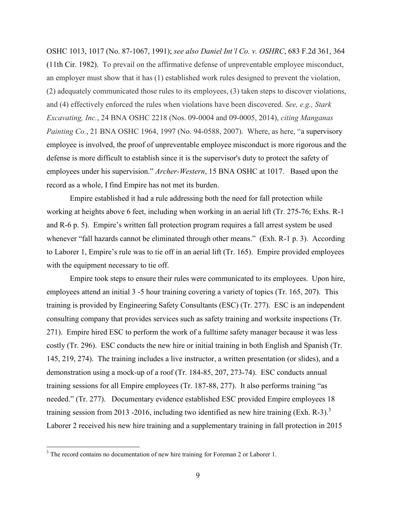OSHC 1013, 1017 (No. 87-1067, 1991); *see also Daniel Int'l Co. v. OSHRC*, 683 F.2d 361, 364 (11th Cir. 1982). To prevail on the affirmative defense of unpreventable employee misconduct, an employer must show that it has (1) established work rules designed to prevent the violation, (2) adequately communicated those rules to its employees, (3) taken steps to discover violations, and (4) effectively enforced the rules when violations have been discovered. *See, e.g., Stark Excavating, Inc.*, 24 BNA OSHC 2218 (Nos. 09-0004 and 09-0005, 2014), *citing Manganas Painting Co.*, 21 BNA OSHC 1964, 1997 (No. 94-0588, 2007). Where, as here, "a supervisory employee is involved, the proof of unpreventable employee misconduct is more rigorous and the defense is more difficult to establish since it is the supervisor's duty to protect the safety of employees under his supervision." *Archer-Western*, 15 BNA OSHC at 1017. Based upon the record as a whole, I find Empire has not met its burden.

 Empire established it had a rule addressing both the need for fall protection while working at heights above 6 feet, including when working in an aerial lift (Tr. 275-76; Exhs. R-1 and R-6 p. 5). Empire's written fall protection program requires a fall arrest system be used whenever "fall hazards cannot be eliminated through other means." (Exh. R-1 p. 3). According to Laborer 1, Empire's rule was to tie off in an aerial lift (Tr. 165). Empire provided employees with the equipment necessary to tie off.

 Empire took steps to ensure their rules were communicated to its employees. Upon hire, employees attend an initial 3 -5 hour training covering a variety of topics (Tr. 165, 207). This training is provided by Engineering Safety Consultants (ESC) (Tr. 277). ESC is an independent consulting company that provides services such as safety training and worksite inspections (Tr. 271). Empire hired ESC to perform the work of a fulltime safety manager because it was less costly (Tr. 296). ESC conducts the new hire or initial training in both English and Spanish (Tr. 145, 219, 274). The training includes a live instructor, a written presentation (or slides), and a demonstration using a mock-up of a roof (Tr. 184-85, 207, 273-74). ESC conducts annual training sessions for all Empire employees (Tr. 187-88, 277). It also performs training "as needed." (Tr. 277). Documentary evidence established ESC provided Empire employees 18 training session from 2013 -2016, including two identified as new hire training (Exh. R-3).<sup>3</sup> Laborer 2 received his new hire training and a supplementary training in fall protection in 2015

<sup>&</sup>lt;sup>3</sup> The record contains no documentation of new hire training for Foreman 2 or Laborer 1.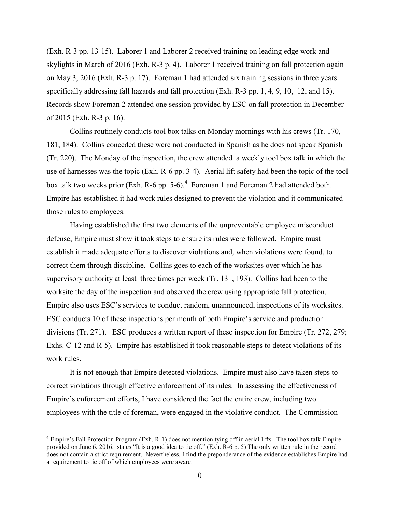(Exh. R-3 pp. 13-15). Laborer 1 and Laborer 2 received training on leading edge work and skylights in March of 2016 (Exh. R-3 p. 4). Laborer 1 received training on fall protection again on May 3, 2016 (Exh. R-3 p. 17). Foreman 1 had attended six training sessions in three years specifically addressing fall hazards and fall protection (Exh. R-3 pp. 1, 4, 9, 10, 12, and 15). Records show Foreman 2 attended one session provided by ESC on fall protection in December of 2015 (Exh. R-3 p. 16).

 Collins routinely conducts tool box talks on Monday mornings with his crews (Tr. 170, 181, 184). Collins conceded these were not conducted in Spanish as he does not speak Spanish (Tr. 220). The Monday of the inspection, the crew attended a weekly tool box talk in which the use of harnesses was the topic (Exh. R-6 pp. 3-4). Aerial lift safety had been the topic of the tool box talk two weeks prior (Exh. R-6 pp. 5-6). $<sup>4</sup>$  Foreman 1 and Foreman 2 had attended both.</sup> Empire has established it had work rules designed to prevent the violation and it communicated those rules to employees.

 Having established the first two elements of the unpreventable employee misconduct defense, Empire must show it took steps to ensure its rules were followed. Empire must establish it made adequate efforts to discover violations and, when violations were found, to correct them through discipline. Collins goes to each of the worksites over which he has supervisory authority at least three times per week (Tr. 131, 193). Collins had been to the worksite the day of the inspection and observed the crew using appropriate fall protection. Empire also uses ESC's services to conduct random, unannounced, inspections of its worksites. ESC conducts 10 of these inspections per month of both Empire's service and production divisions (Tr. 271). ESC produces a written report of these inspection for Empire (Tr. 272, 279; Exhs. C-12 and R-5). Empire has established it took reasonable steps to detect violations of its work rules.

 It is not enough that Empire detected violations. Empire must also have taken steps to correct violations through effective enforcement of its rules. In assessing the effectiveness of Empire's enforcement efforts, I have considered the fact the entire crew, including two employees with the title of foreman, were engaged in the violative conduct. The Commission

 $\overline{a}$ 

<sup>&</sup>lt;sup>4</sup> Empire's Fall Protection Program (Exh. R-1) does not mention tying off in aerial lifts. The tool box talk Empire provided on June 6, 2016, states "It is a good idea to tie off." (Exh. R-6 p. 5) The only written rule in the record does not contain a strict requirement. Nevertheless, I find the preponderance of the evidence establishes Empire had a requirement to tie off of which employees were aware.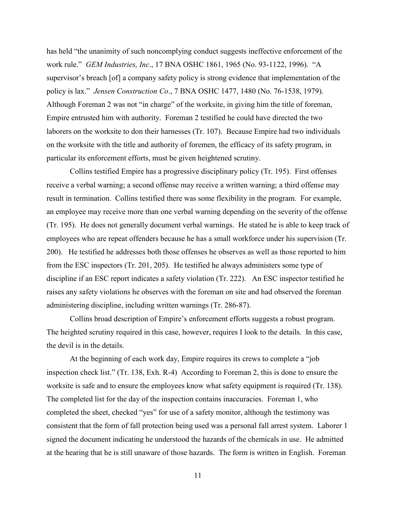has held "the unanimity of such noncomplying conduct suggests ineffective enforcement of the work rule." *GEM Industries, Inc*., 17 BNA OSHC 1861, 1965 (No. 93-1122, 1996). "A supervisor's breach [of] a company safety policy is strong evidence that implementation of the policy is lax." *Jensen Construction Co*., 7 BNA OSHC 1477, 1480 (No. 76-1538, 1979). Although Foreman 2 was not "in charge" of the worksite, in giving him the title of foreman, Empire entrusted him with authority. Foreman 2 testified he could have directed the two laborers on the worksite to don their harnesses (Tr. 107). Because Empire had two individuals on the worksite with the title and authority of foremen, the efficacy of its safety program, in particular its enforcement efforts, must be given heightened scrutiny.

 Collins testified Empire has a progressive disciplinary policy (Tr. 195). First offenses receive a verbal warning; a second offense may receive a written warning; a third offense may result in termination. Collins testified there was some flexibility in the program. For example, an employee may receive more than one verbal warning depending on the severity of the offense (Tr. 195). He does not generally document verbal warnings. He stated he is able to keep track of employees who are repeat offenders because he has a small workforce under his supervision (Tr. 200). He testified he addresses both those offenses he observes as well as those reported to him from the ESC inspectors (Tr. 201, 205). He testified he always administers some type of discipline if an ESC report indicates a safety violation (Tr. 222). An ESC inspector testified he raises any safety violations he observes with the foreman on site and had observed the foreman administering discipline, including written warnings (Tr. 286-87).

 Collins broad description of Empire's enforcement efforts suggests a robust program. The heighted scrutiny required in this case, however, requires I look to the details. In this case, the devil is in the details.

 At the beginning of each work day, Empire requires its crews to complete a "job inspection check list." (Tr. 138, Exh. R-4) According to Foreman 2, this is done to ensure the worksite is safe and to ensure the employees know what safety equipment is required (Tr. 138). The completed list for the day of the inspection contains inaccuracies. Foreman 1, who completed the sheet, checked "yes" for use of a safety monitor, although the testimony was consistent that the form of fall protection being used was a personal fall arrest system. Laborer 1 signed the document indicating he understood the hazards of the chemicals in use. He admitted at the hearing that he is still unaware of those hazards. The form is written in English. Foreman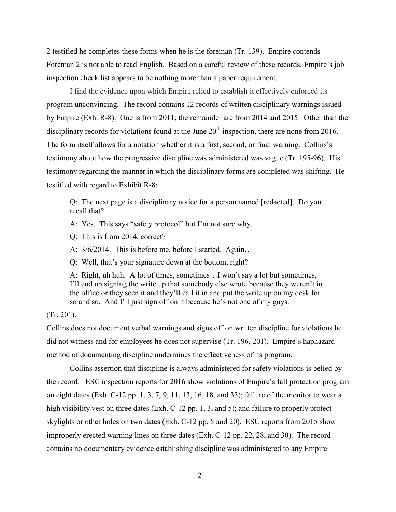2 testified he completes these forms when he is the foreman (Tr. 139). Empire contends Foreman 2 is not able to read English. Based on a careful review of these records, Empire's job inspection check list appears to be nothing more than a paper requirement.

 I find the evidence upon which Empire relied to establish it effectively enforced its program unconvincing. The record contains 12 records of written disciplinary warnings issued by Empire (Exh. R-8). One is from 2011; the remainder are from 2014 and 2015. Other than the disciplinary records for violations found at the June  $20<sup>th</sup>$  inspection, there are none from 2016. The form itself allows for a notation whether it is a first, second, or final warning. Collins's testimony about how the progressive discipline was administered was vague (Tr. 195-96). His testimony regarding the manner in which the disciplinary forms are completed was shifting. He testified with regard to Exhibit R-8:

Q: The next page is a disciplinary notice for a person named [redacted]. Do you recall that?

A: Yes. This says "safety protocol" but I'm not sure why.

Q: This is from 2014, correct?

A: 3/6/2014. This is before me, before I started. Again…

Q: Well, that's your signature down at the bottom, right?

A: Right, uh huh. A lot of times, sometimes…I won't say a lot but sometimes, I'll end up signing the write up that somebody else wrote because they weren't in the office or they seen it and they'll call it in and put the write up on my desk for so and so. And I'll just sign off on it because he's not one of my guys.

(Tr. 201).

Collins does not document verbal warnings and signs off on written discipline for violations he did not witness and for employees he does not supervise (Tr. 196, 201). Empire's haphazard method of documenting discipline undermines the effectiveness of its program.

 Collins assertion that discipline is always administered for safety violations is belied by the record. ESC inspection reports for 2016 show violations of Empire's fall protection program on eight dates (Exh. C-12 pp. 1, 3, 7, 9, 11, 13, 16, 18, and 33); failure of the monitor to wear a high visibility vest on three dates (Exh. C-12 pp. 1, 3, and 5); and failure to properly protect skylights or other holes on two dates (Exh. C-12 pp. 5 and 20). ESC reports from 2015 show improperly erected warning lines on three dates (Exh. C-12 pp. 22, 28, and 30). The record contains no documentary evidence establishing discipline was administered to any Empire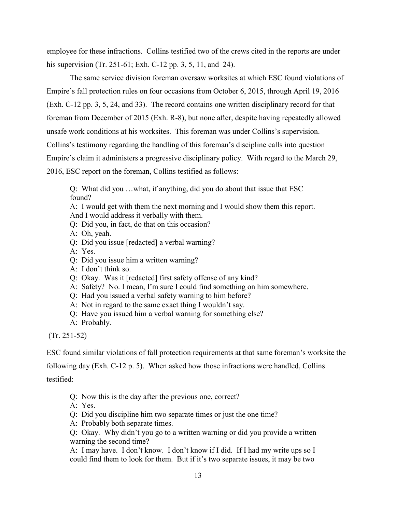employee for these infractions. Collins testified two of the crews cited in the reports are under his supervision (Tr. 251-61; Exh. C-12 pp. 3, 5, 11, and 24).

 The same service division foreman oversaw worksites at which ESC found violations of Empire's fall protection rules on four occasions from October 6, 2015, through April 19, 2016 (Exh. C-12 pp. 3, 5, 24, and 33). The record contains one written disciplinary record for that foreman from December of 2015 (Exh. R-8), but none after, despite having repeatedly allowed unsafe work conditions at his worksites. This foreman was under Collins's supervision. Collins's testimony regarding the handling of this foreman's discipline calls into question Empire's claim it administers a progressive disciplinary policy. With regard to the March 29, 2016, ESC report on the foreman, Collins testified as follows:

Q: What did you …what, if anything, did you do about that issue that ESC found?

A: I would get with them the next morning and I would show them this report. And I would address it verbally with them.

Q: Did you, in fact, do that on this occasion?

A: Oh, yeah.

Q: Did you issue [redacted] a verbal warning?

A: Yes.

Q: Did you issue him a written warning?

A: I don't think so.

Q: Okay. Was it [redacted] first safety offense of any kind?

A: Safety? No. I mean, I'm sure I could find something on him somewhere.

Q: Had you issued a verbal safety warning to him before?

A: Not in regard to the same exact thing I wouldn't say.

Q: Have you issued him a verbal warning for something else?

A: Probably.

(Tr. 251-52)

ESC found similar violations of fall protection requirements at that same foreman's worksite the

following day (Exh. C-12 p. 5). When asked how those infractions were handled, Collins

testified:

- Q: Now this is the day after the previous one, correct?
- A: Yes.
- Q: Did you discipline him two separate times or just the one time?
- A: Probably both separate times.

Q: Okay. Why didn't you go to a written warning or did you provide a written warning the second time?

A: I may have. I don't know. I don't know if I did. If I had my write ups so I could find them to look for them. But if it's two separate issues, it may be two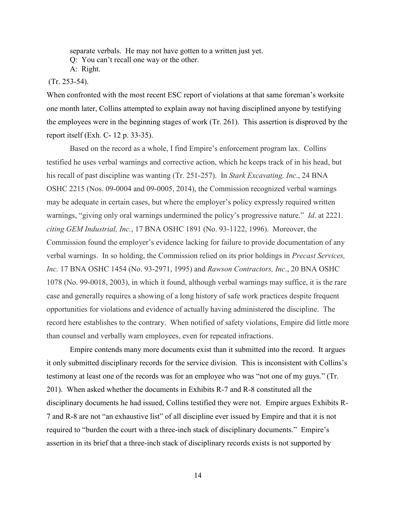separate verbals. He may not have gotten to a written just yet. Q: You can't recall one way or the other.

A: Right.

# (Tr. 253-54).

When confronted with the most recent ESC report of violations at that same foreman's worksite one month later, Collins attempted to explain away not having disciplined anyone by testifying the employees were in the beginning stages of work (Tr. 261). This assertion is disproved by the report itself (Exh. C- 12 p. 33-35).

 Based on the record as a whole, I find Empire's enforcement program lax. Collins testified he uses verbal warnings and corrective action, which he keeps track of in his head, but his recall of past discipline was wanting (Tr. 251-257). In *Stark Excavating, Inc*., 24 BNA OSHC 2215 (Nos. 09-0004 and 09-0005, 2014), the Commission recognized verbal warnings may be adequate in certain cases, but where the employer's policy expressly required written warnings, "giving only oral warnings undermined the policy's progressive nature." *Id*. at 2221. *citing GEM Industrial, Inc.*, 17 BNA OSHC 1891 (No. 93-1122, 1996). Moreover, the Commission found the employer's evidence lacking for failure to provide documentation of any verbal warnings. In so holding, the Commission relied on its prior holdings in *Precast Services, Inc.* 17 BNA OSHC 1454 (No. 93-2971, 1995) and *Rawson Contractors, Inc*., 20 BNA OSHC 1078 (No. 99-0018, 2003), in which it found, although verbal warnings may suffice, it is the rare case and generally requires a showing of a long history of safe work practices despite frequent opportunities for violations and evidence of actually having administered the discipline. The record here establishes to the contrary. When notified of safety violations, Empire did little more than counsel and verbally warn employees, even for repeated infractions.

 Empire contends many more documents exist than it submitted into the record. It argues it only submitted disciplinary records for the service division. This is inconsistent with Collins's testimony at least one of the records was for an employee who was "not one of my guys." (Tr. 201). When asked whether the documents in Exhibits R-7 and R-8 constituted all the disciplinary documents he had issued, Collins testified they were not. Empire argues Exhibits R-7 and R-8 are not "an exhaustive list" of all discipline ever issued by Empire and that it is not required to "burden the court with a three-inch stack of disciplinary documents." Empire's assertion in its brief that a three-inch stack of disciplinary records exists is not supported by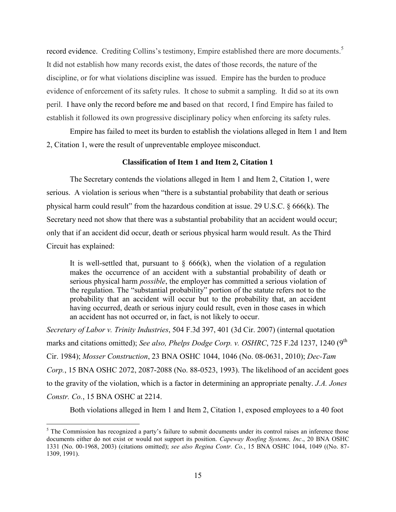record evidence. Crediting Collins's testimony, Empire established there are more documents.<sup>5</sup> It did not establish how many records exist, the dates of those records, the nature of the discipline, or for what violations discipline was issued. Empire has the burden to produce evidence of enforcement of its safety rules. It chose to submit a sampling. It did so at its own peril. I have only the record before me and based on that record, I find Empire has failed to establish it followed its own progressive disciplinary policy when enforcing its safety rules.

 Empire has failed to meet its burden to establish the violations alleged in Item 1 and Item 2, Citation 1, were the result of unpreventable employee misconduct.

### **Classification of Item 1 and Item 2, Citation 1**

The Secretary contends the violations alleged in Item 1 and Item 2, Citation 1, were serious. A violation is serious when "there is a substantial probability that death or serious physical harm could result" from the hazardous condition at issue. [29 U.S.C. § 666\(k\).](https://a.next.westlaw.com/Link/Document/FullText?findType=L&pubNum=1000546&cite=29USCAS666&originatingDoc=I506d03ad178f11e2b60bb297d3d07bc5&refType=RB&originationContext=document&transitionType=DocumentItem&contextData=(sc.Search)#co_pp_340a00009b6f3) The Secretary need not show that there was a substantial probability that an accident would occur; only that if an accident did occur, death or serious physical harm would result. As the Third Circuit has explained:

It is well-settled that, pursuant to  $\S$  666(k), when the violation of a regulation makes the occurrence of an accident with a substantial probability of death or serious physical harm *possible*, the employer has committed a serious violation of the regulation. The "substantial probability" portion of the statute refers not to the probability that an accident will occur but to the probability that, an accident having occurred, death or serious injury could result, even in those cases in which an accident has not occurred or, in fact, is not likely to occur.

*[Secretary of Labor v. Trinity Industries](https://a.next.westlaw.com/Link/Document/FullText?findType=Y&serNum=2013096350&pubNum=506&originatingDoc=I506d03ad178f11e2b60bb297d3d07bc5&refType=RP&fi=co_pp_sp_506_401&originationContext=document&transitionType=DocumentItem&contextData=(sc.Search)#co_pp_sp_506_401)*, 504 F.3d 397, 401 (3d Cir. 2007) (internal quotation marks and citations omitted); *See also, [Phelps Dodge Corp. v. OSHRC](https://a.next.westlaw.com/Link/Document/FullText?findType=Y&serNum=1984108374&pubNum=350&originatingDoc=I506d03ad178f11e2b60bb297d3d07bc5&refType=RP&fi=co_pp_sp_350_1240&originationContext=document&transitionType=DocumentItem&contextData=(sc.Search)#co_pp_sp_350_1240)*, 725 F.2d 1237, 1240 (9<sup>th</sup>) [Cir. 1984\);](https://a.next.westlaw.com/Link/Document/FullText?findType=Y&serNum=1984108374&pubNum=350&originatingDoc=I506d03ad178f11e2b60bb297d3d07bc5&refType=RP&fi=co_pp_sp_350_1240&originationContext=document&transitionType=DocumentItem&contextData=(sc.Search)#co_pp_sp_350_1240) *Mosser Construction*[, 23 BNA OSHC 1044, 1046 \(No. 08-0631, 2010\);](https://a.next.westlaw.com/Link/Document/FullText?findType=Y&serNum=2021461301&pubNum=0003227&originatingDoc=I506d03ad178f11e2b60bb297d3d07bc5&refType=CA&fi=co_pp_sp_3227_1046&originationContext=document&transitionType=DocumentItem&contextData=(sc.Search)#co_pp_sp_3227_1046) *[Dec-Tam](https://a.next.westlaw.com/Link/Document/FullText?findType=Y&serNum=1993474368&pubNum=0003227&originatingDoc=I506d03ad178f11e2b60bb297d3d07bc5&refType=CA&fi=co_pp_sp_3227_2087&originationContext=document&transitionType=DocumentItem&contextData=(sc.Search)#co_pp_sp_3227_2087)  Corp.*[, 15 BNA OSHC 2072, 2087-2088 \(No. 88-0523, 1993\).](https://a.next.westlaw.com/Link/Document/FullText?findType=Y&serNum=1993474368&pubNum=0003227&originatingDoc=I506d03ad178f11e2b60bb297d3d07bc5&refType=CA&fi=co_pp_sp_3227_2087&originationContext=document&transitionType=DocumentItem&contextData=(sc.Search)#co_pp_sp_3227_2087) The likelihood of an accident goes to the gravity of the violation, which is a factor in determining an appropriate penalty. *[J.A. Jones](https://a.next.westlaw.com/Link/Document/FullText?findType=Y&serNum=1993474385&pubNum=0003227&originatingDoc=I506d03ad178f11e2b60bb297d3d07bc5&refType=CA&fi=co_pp_sp_3227_2214&originationContext=document&transitionType=DocumentItem&contextData=(sc.Search)#co_pp_sp_3227_2214)  Constr. Co.*[, 15 BNA OSHC at 2214.](https://a.next.westlaw.com/Link/Document/FullText?findType=Y&serNum=1993474385&pubNum=0003227&originatingDoc=I506d03ad178f11e2b60bb297d3d07bc5&refType=CA&fi=co_pp_sp_3227_2214&originationContext=document&transitionType=DocumentItem&contextData=(sc.Search)#co_pp_sp_3227_2214)

Both violations alleged in Item 1 and Item 2, Citation 1, exposed employees to a 40 foot

 $\overline{a}$ 

<sup>&</sup>lt;sup>5</sup> The Commission has recognized a party's failure to submit documents under its control raises an inference those documents either do not exist or would not support its position. *Capeway Roofing Systems, Inc*., 20 BNA OSHC 1331 (No. 00-1968, 2003) (citations omitted); *see also Regina Contr. Co.*, 15 BNA OSHC 1044, 1049 ((No. 87- 1309, 1991).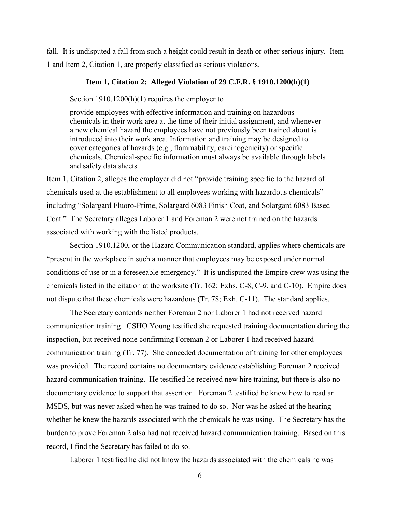fall. It is undisputed a fall from such a height could result in death or other serious injury. Item 1 and Item 2, Citation 1, are properly classified as serious violations.

#### **Item 1, Citation 2: Alleged Violation of 29 C.F.R. § 1910.1200(h)(1)**

Section 1910.1200(h)(1) requires the employer to

provide employees with effective information and training on hazardous chemicals in their work area at the time of their initial assignment, and whenever a new chemical hazard the employees have not previously been trained about is introduced into their work area. Information and training may be designed to cover categories of hazards (e.g., flammability, carcinogenicity) or specific chemicals. Chemical-specific information must always be available through labels and safety data sheets.

Item 1, Citation 2, alleges the employer did not "provide training specific to the hazard of chemicals used at the establishment to all employees working with hazardous chemicals" including "Solargard Fluoro-Prime, Solargard 6083 Finish Coat, and Solargard 6083 Based Coat." The Secretary alleges Laborer 1 and Foreman 2 were not trained on the hazards associated with working with the listed products.

 Section 1910.1200, or the Hazard Communication standard, applies where chemicals are "present in the workplace in such a manner that employees may be exposed under normal conditions of use or in a foreseeable emergency." It is undisputed the Empire crew was using the chemicals listed in the citation at the worksite (Tr. 162; Exhs. C-8, C-9, and C-10). Empire does not dispute that these chemicals were hazardous (Tr. 78; Exh. C-11). The standard applies.

 The Secretary contends neither Foreman 2 nor Laborer 1 had not received hazard communication training. CSHO Young testified she requested training documentation during the inspection, but received none confirming Foreman 2 or Laborer 1 had received hazard communication training (Tr. 77). She conceded documentation of training for other employees was provided. The record contains no documentary evidence establishing Foreman 2 received hazard communication training. He testified he received new hire training, but there is also no documentary evidence to support that assertion. Foreman 2 testified he knew how to read an MSDS, but was never asked when he was trained to do so. Nor was he asked at the hearing whether he knew the hazards associated with the chemicals he was using. The Secretary has the burden to prove Foreman 2 also had not received hazard communication training. Based on this record, I find the Secretary has failed to do so.

Laborer 1 testified he did not know the hazards associated with the chemicals he was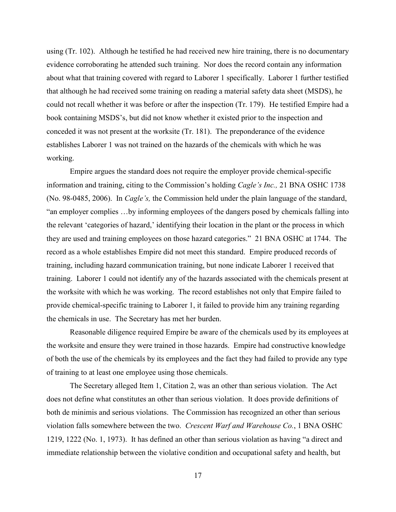using (Tr. 102). Although he testified he had received new hire training, there is no documentary evidence corroborating he attended such training. Nor does the record contain any information about what that training covered with regard to Laborer 1 specifically. Laborer 1 further testified that although he had received some training on reading a material safety data sheet (MSDS), he could not recall whether it was before or after the inspection (Tr. 179). He testified Empire had a book containing MSDS's, but did not know whether it existed prior to the inspection and conceded it was not present at the worksite (Tr. 181). The preponderance of the evidence establishes Laborer 1 was not trained on the hazards of the chemicals with which he was working.

 Empire argues the standard does not require the employer provide chemical-specific information and training, citing to the Commission's holding *Cagle's Inc.,* 21 BNA OSHC 1738 (No. 98-0485, 2006). In *Cagle's,* the Commission held under the plain language of the standard, "an employer complies …by informing employees of the dangers posed by chemicals falling into the relevant 'categories of hazard,' identifying their location in the plant or the process in which they are used and training employees on those hazard categories." 21 BNA OSHC at 1744. The record as a whole establishes Empire did not meet this standard. Empire produced records of training, including hazard communication training, but none indicate Laborer 1 received that training. Laborer 1 could not identify any of the hazards associated with the chemicals present at the worksite with which he was working. The record establishes not only that Empire failed to provide chemical-specific training to Laborer 1, it failed to provide him any training regarding the chemicals in use. The Secretary has met her burden.

 Reasonable diligence required Empire be aware of the chemicals used by its employees at the worksite and ensure they were trained in those hazards. Empire had constructive knowledge of both the use of the chemicals by its employees and the fact they had failed to provide any type of training to at least one employee using those chemicals.

 The Secretary alleged Item 1, Citation 2, was an other than serious violation. The Act does not define what constitutes an other than serious violation. It does provide definitions of both de minimis and serious violations. The Commission has recognized an other than serious violation falls somewhere between the two. *Crescent Warf and Warehouse Co.*, 1 BNA OSHC 1219, 1222 (No. 1, 1973). It has defined an other than serious violation as having "a direct and immediate relationship between the violative condition and occupational safety and health, but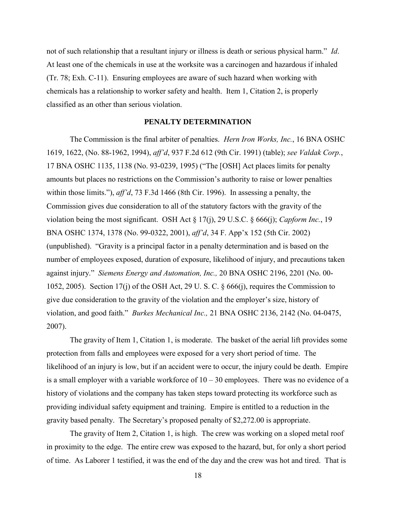not of such relationship that a resultant injury or illness is death or serious physical harm." *Id*. At least one of the chemicals in use at the worksite was a carcinogen and hazardous if inhaled (Tr. 78; Exh. C-11). Ensuring employees are aware of such hazard when working with chemicals has a relationship to worker safety and health. Item 1, Citation 2, is properly classified as an other than serious violation.

### **PENALTY DETERMINATION**

The Commission is the final arbiter of penalties. *Hern Iron Works, Inc.*, 16 BNA OSHC 1619, 1622, (No. 88-1962, 1994), *aff'd*, 937 F.2d 612 (9th Cir. 1991) (table); *see Valdak Corp.*, 17 BNA OSHC 1135, 1138 (No. 93-0239, 1995) ("The [OSH] Act places limits for penalty amounts but places no restrictions on the Commission's authority to raise or lower penalties within those limits."), *aff'd*, 73 F.3d 1466 (8th Cir. 1996). In assessing a penalty, the Commission gives due consideration to all of the statutory factors with the gravity of the violation being the most significant. OSH Act § 17(j), 29 U.S.C. § 666(j); *Capform Inc.*, 19 BNA OSHC 1374, 1378 (No. 99-0322, 2001), *aff'd*, 34 F. App'x 152 (5th Cir. 2002) (unpublished). "Gravity is a principal factor in a penalty determination and is based on the number of employees exposed, duration of exposure, likelihood of injury, and precautions taken against injury." *Siemens Energy and Automation, Inc.,* 20 BNA OSHC 2196, 2201 (No. 00- 1052, 2005). Section 17(j) of the OSH Act, 29 U. S. C. § 666(j), requires the Commission to give due consideration to the gravity of the violation and the employer's size, history of violation, and good faith." *Burkes Mechanical Inc.,* 21 BNA OSHC 2136, 2142 (No. 04-0475, 2007).

The gravity of Item 1, Citation 1, is moderate. The basket of the aerial lift provides some protection from falls and employees were exposed for a very short period of time. The likelihood of an injury is low, but if an accident were to occur, the injury could be death. Empire is a small employer with a variable workforce of  $10 - 30$  employees. There was no evidence of a history of violations and the company has taken steps toward protecting its workforce such as providing individual safety equipment and training. Empire is entitled to a reduction in the gravity based penalty. The Secretary's proposed penalty of \$2,272.00 is appropriate.

The gravity of Item 2, Citation 1, is high. The crew was working on a sloped metal roof in proximity to the edge. The entire crew was exposed to the hazard, but, for only a short period of time. As Laborer 1 testified, it was the end of the day and the crew was hot and tired. That is